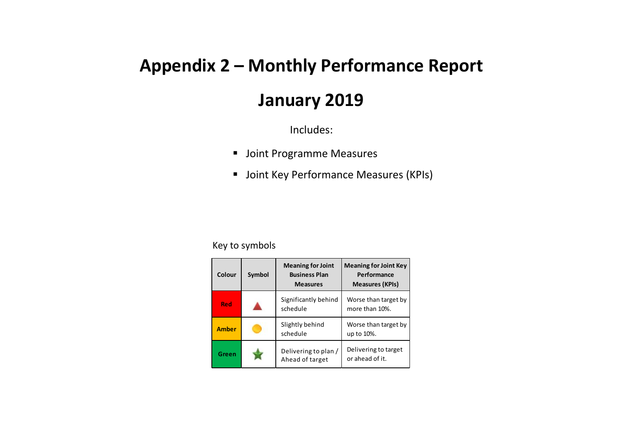## **Appendix 2 – Monthly Performance Report**

## **January 2019**

Includes:

- Joint Programme Measures
- **Joint Key Performance Measures (KPIs)**

## Key to symbols

| Colour       | Symbol | <b>Meaning for Joint</b><br><b>Business Plan</b><br><b>Measures</b> | <b>Meaning for Joint Key</b><br>Performance<br><b>Measures (KPIs)</b> |
|--------------|--------|---------------------------------------------------------------------|-----------------------------------------------------------------------|
| Red          |        | Significantly behind<br>schedule                                    | Worse than target by<br>more than 10%.                                |
| <b>Amber</b> |        | Slightly behind<br>schedule                                         | Worse than target by<br>up to 10%.                                    |
| Green        |        | Delivering to plan /<br>Ahead of target                             | Delivering to target<br>or ahead of it.                               |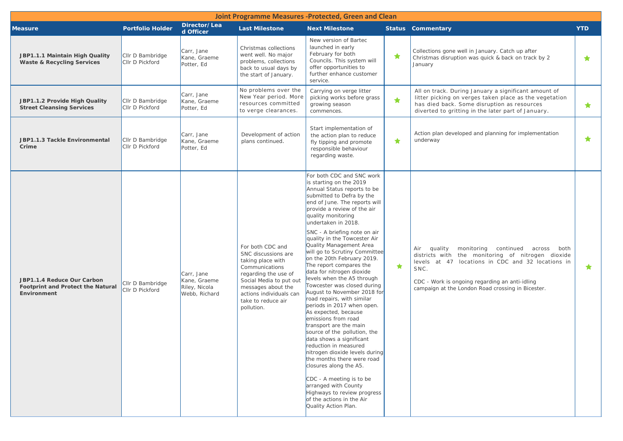| Joint Programme Measures -Protected, Green and Clean                                  |                                     |                                                              |                                                                                                                                                                                                                        |                                                                                                                                                                                                                                                                                                                                                                                                                                                                                                                                                                                                                                                                                                                                                                                                                                                                                                                                                                                                         |            |                                                                                                                                                                                                                                                                             |            |  |  |  |  |
|---------------------------------------------------------------------------------------|-------------------------------------|--------------------------------------------------------------|------------------------------------------------------------------------------------------------------------------------------------------------------------------------------------------------------------------------|---------------------------------------------------------------------------------------------------------------------------------------------------------------------------------------------------------------------------------------------------------------------------------------------------------------------------------------------------------------------------------------------------------------------------------------------------------------------------------------------------------------------------------------------------------------------------------------------------------------------------------------------------------------------------------------------------------------------------------------------------------------------------------------------------------------------------------------------------------------------------------------------------------------------------------------------------------------------------------------------------------|------------|-----------------------------------------------------------------------------------------------------------------------------------------------------------------------------------------------------------------------------------------------------------------------------|------------|--|--|--|--|
| <b>Measure</b>                                                                        | <b>Portfolio Holder</b>             | Director/Lea<br>d Officer                                    | <b>Last Milestone</b>                                                                                                                                                                                                  | <b>Next Milestone</b>                                                                                                                                                                                                                                                                                                                                                                                                                                                                                                                                                                                                                                                                                                                                                                                                                                                                                                                                                                                   |            | <b>Status Commentary</b>                                                                                                                                                                                                                                                    | <b>YTD</b> |  |  |  |  |
| JBP1.1.1 Maintain High Quality<br><b>Waste &amp; Recycling Services</b>               | Cllr D Bambridge<br>CIIr D Pickford | Carr, Jane<br>Kane, Graeme<br>Potter, Ed                     | Christmas collections<br>went well. No major<br>problems, collections<br>back to usual days by<br>the start of January.                                                                                                | New version of Bartec<br>launched in early<br>February for both<br>Councils. This system will<br>offer opportunities to<br>further enhance customer<br>service.                                                                                                                                                                                                                                                                                                                                                                                                                                                                                                                                                                                                                                                                                                                                                                                                                                         | $\star$    | Collections gone well in January. Catch up after<br>Christmas disruption was quick & back on track by 2<br>January                                                                                                                                                          | $\star$    |  |  |  |  |
| JBP1.1.2 Provide High Quality<br><b>Street Cleansing Services</b>                     | Cllr D Bambridge<br>Cllr D Pickford | Carr, Jane<br>Kane, Graeme<br>Potter, Ed                     | No problems over the<br>New Year period. More<br>resources committed<br>to verge clearances.                                                                                                                           | Carrying on verge litter<br>picking works before grass<br>growing season<br>commences.                                                                                                                                                                                                                                                                                                                                                                                                                                                                                                                                                                                                                                                                                                                                                                                                                                                                                                                  | $\bigstar$ | All on track. During January a significant amount of<br>litter picking on verges taken place as the vegetation<br>has died back. Some disruption as resources<br>diverted to gritting in the later part of January.                                                         | $\star$    |  |  |  |  |
| JBP1.1.3 Tackle Environmental<br>Crime                                                | Cllr D Bambridge<br>CIIr D Pickford | Carr, Jane<br>Kane, Graeme<br>Potter, Ed                     | Development of action<br>plans continued.                                                                                                                                                                              | Start implementation of<br>the action plan to reduce<br>fly tipping and promote<br>responsible behaviour<br>regarding waste.                                                                                                                                                                                                                                                                                                                                                                                                                                                                                                                                                                                                                                                                                                                                                                                                                                                                            | $\bigstar$ | Action plan developed and planning for implementation<br>underway                                                                                                                                                                                                           | $\bigstar$ |  |  |  |  |
| JBP1.1.4 Reduce Our Carbon<br><b>Footprint and Protect the Natural</b><br>Environment | CIIr D Bambridge<br>Cllr D Pickford | Carr, Jane<br>Kane, Graeme<br>Riley, Nicola<br>Webb, Richard | For both CDC and<br>SNC discussions are<br>taking place with<br>Communications<br>regarding the use of<br>Social Media to put out<br>messages about the<br>actions individuals can<br>take to reduce air<br>pollution. | For both CDC and SNC work<br>is starting on the 2019<br>Annual Status reports to be<br>submitted to Defra by the<br>end of June. The reports will<br>provide a review of the air<br>quality monitoring<br>undertaken in 2018.<br>SNC - A briefing note on air<br>quality in the Towcester Air<br>Quality Management Area<br>will go to Scrutiny Committee<br>on the 20th February 2019.<br>The report compares the<br>data for nitrogen dioxide<br>levels when the A5 through<br>Towcester was closed during<br>August to November 2018 for<br>road repairs, with similar<br>periods in 2017 when open.<br>As expected, because<br>emissions from road<br>transport are the main<br>source of the pollution, the<br>data shows a significant<br>reduction in measured<br>nitrogen dioxide levels during<br>the months there were road<br>closures along the A5.<br>CDC - A meeting is to be<br>arranged with County<br>Highways to review progress<br>of the actions in the Air<br>Quality Action Plan. | ★          | Air quality<br>monitoring continued across<br>both<br>districts with the monitoring of nitrogen dioxide<br>levels at 47 locations in CDC and 32 locations in<br>SNC.<br>CDC - Work is ongoing regarding an anti-idling<br>campaign at the London Road crossing in Bicester. | ★          |  |  |  |  |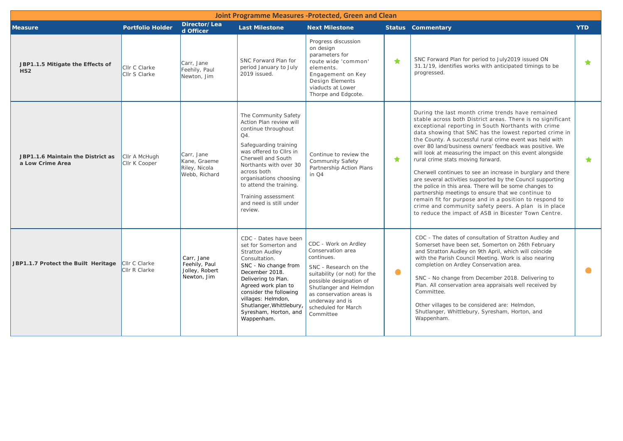| Joint Programme Measures -Protected, Green and Clean  |                                       |                                                              |                                                                                                                                                                                                                                                                                                                    |                                                                                                                                                                                                                                                          |            |                                                                                                                                                                                                                                                                                                                                                                                                                                                                                                                                                                                                                                                                                                                                                                                                                                                                                 |            |  |  |  |  |
|-------------------------------------------------------|---------------------------------------|--------------------------------------------------------------|--------------------------------------------------------------------------------------------------------------------------------------------------------------------------------------------------------------------------------------------------------------------------------------------------------------------|----------------------------------------------------------------------------------------------------------------------------------------------------------------------------------------------------------------------------------------------------------|------------|---------------------------------------------------------------------------------------------------------------------------------------------------------------------------------------------------------------------------------------------------------------------------------------------------------------------------------------------------------------------------------------------------------------------------------------------------------------------------------------------------------------------------------------------------------------------------------------------------------------------------------------------------------------------------------------------------------------------------------------------------------------------------------------------------------------------------------------------------------------------------------|------------|--|--|--|--|
| <b>Measure</b>                                        | <b>Portfolio Holder</b>               | Director/Lea<br>d Officer                                    | <b>Last Milestone</b>                                                                                                                                                                                                                                                                                              | <b>Next Milestone</b>                                                                                                                                                                                                                                    |            | <b>Status Commentary</b>                                                                                                                                                                                                                                                                                                                                                                                                                                                                                                                                                                                                                                                                                                                                                                                                                                                        | <b>YTD</b> |  |  |  |  |
| JBP1.1.5 Mitigate the Effects of<br>HS <sub>2</sub>   | Cllr C Clarke<br><b>Clir S Clarke</b> | Carr, Jane<br>Feehily, Paul<br>Newton, Jim                   | SNC Forward Plan for<br>period January to July<br>2019 issued.                                                                                                                                                                                                                                                     | Progress discussion<br>on design<br>parameters for<br>route wide 'common'<br>elements.<br>Engagement on Key<br><b>Design Elements</b><br>viaducts at Lower<br>Thorpe and Edgcote.                                                                        | $\bigstar$ | SNC Forward Plan for period to July2019 issued ON<br>31.1/19, identifies works with anticipated timings to be<br>progressed.                                                                                                                                                                                                                                                                                                                                                                                                                                                                                                                                                                                                                                                                                                                                                    | $\bigstar$ |  |  |  |  |
| JBP1.1.6 Maintain the District as<br>a Low Crime Area | Cllr A McHugh<br>Cllr K Cooper        | Carr, Jane<br>Kane, Graeme<br>Riley, Nicola<br>Webb, Richard | The Community Safety<br>Action Plan review will<br>continue throughout<br>Q4.<br>Safeguarding training<br>was offered to Cllrs in<br>Cherwell and South<br>Northants with over 30<br>across both<br>organisations choosing<br>to attend the training.<br>Training assessment<br>and need is still under<br>review. | Continue to review the<br>$\bigstar$<br>Community Safety<br>Partnership Action Plans<br>in $Q4$                                                                                                                                                          |            | During the last month crime trends have remained<br>stable across both District areas. There is no significant<br>exceptional reporting in South Northants with crime<br>data showing that SNC has the lowest reported crime in<br>the County. A successful rural crime event was held with<br>over 80 land/business owners' feedback was positive. We<br>will look at measuring the impact on this event alongside<br>rural crime stats moving forward.<br>Cherwell continues to see an increase in burglary and there<br>are several activities supported by the Council supporting<br>the police in this area. There will be some changes to<br>partnership meetings to ensure that we continue to<br>remain fit for purpose and in a position to respond to<br>crime and community safety peers. A plan is in place<br>to reduce the impact of ASB in Bicester Town Centre. |            |  |  |  |  |
| JBP1.1.7 Protect the Built Heritage                   | Cllr C Clarke<br>Cllr R Clarke        | Carr, Jane<br>Feehily, Paul<br>Jolley, Robert<br>Newton, Jim | CDC - Dates have been<br>set for Somerton and<br><b>Stratton Audley</b><br>Consultation.<br>SNC - No change from<br>December 2018.<br>Delivering to Plan.<br>Agreed work plan to<br>consider the following<br>villages: Helmdon,<br>Shutlanger, Whittlebury,<br>Syresham, Horton, and<br>Wappenham.                | CDC - Work on Ardley<br>Conservation area<br>continues.<br>SNC - Research on the<br>suitability (or not) for the<br>possible designation of<br>Shutlanger and Helmdon<br>as conservation areas is<br>underway and is<br>scheduled for March<br>Committee | œ          | CDC - The dates of consultation of Stratton Audley and<br>Somerset have been set, Somerton on 26th February<br>and Stratton Audley on 9th April, which will coincide<br>with the Parish Council Meeting. Work is also nearing<br>completion on Ardley Conservation area.<br>SNC - No change from December 2018. Delivering to<br>Plan. All conservation area appraisals well received by<br>Committee.<br>Other villages to be considered are: Helmdon,<br>Shutlanger, Whittlebury, Syresham, Horton, and<br>Wappenham.                                                                                                                                                                                                                                                                                                                                                         |            |  |  |  |  |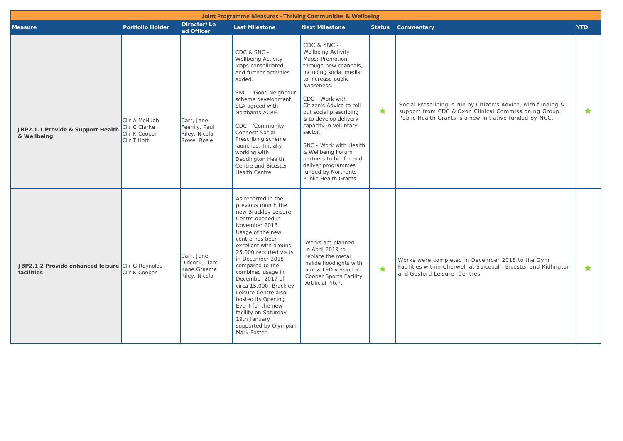|                                                                 |                                                                 |                                                              |                                                                                                                                                                                                                                                                                                                                                                                                                                                               | <b>Joint Programme Measures - Thriving Communities &amp; Wellbeing</b>                                                                                                                                                                                                                                                                                                                                                             |   |                                                                                                                                                                                   |            |
|-----------------------------------------------------------------|-----------------------------------------------------------------|--------------------------------------------------------------|---------------------------------------------------------------------------------------------------------------------------------------------------------------------------------------------------------------------------------------------------------------------------------------------------------------------------------------------------------------------------------------------------------------------------------------------------------------|------------------------------------------------------------------------------------------------------------------------------------------------------------------------------------------------------------------------------------------------------------------------------------------------------------------------------------------------------------------------------------------------------------------------------------|---|-----------------------------------------------------------------------------------------------------------------------------------------------------------------------------------|------------|
| <b>Measure</b>                                                  | <b>Portfolio Holder</b>                                         | Director/Le<br>ad Officer                                    | <b>Last Milestone</b>                                                                                                                                                                                                                                                                                                                                                                                                                                         | <b>Next Milestone</b>                                                                                                                                                                                                                                                                                                                                                                                                              |   | <b>Status</b> Commentary                                                                                                                                                          | <b>YTD</b> |
| JBP2.1.1 Provide & Support Health<br>& Wellbeing                | Cllr A McHugh<br>Cllr C Clarke<br>Cllr K Cooper<br>Cllr T Ilott | Carr, Jane<br>Feehily, Paul<br>Riley, Nicola<br>Rowe, Rosie  | CDC & SNC -<br>Wellbeing Activity<br>Maps consolidated,<br>and further activities<br>added.<br>SNC - 'Good Neighbour'<br>scheme development<br>SLA agreed with<br>Northants ACRE.<br>CDC - 'Community<br>Connect' Social<br>Prescribing scheme<br>launched. Initially<br>working with<br>Deddington Health<br>Centre and Bicester<br>Health Centre.                                                                                                           | CDC & SNC -<br>Wellbeing Activity<br>Maps: Promotion<br>through new channels,<br>including social media,<br>to increase public<br>awareness.<br>CDC - Work with<br>Citizen's Advice to roll<br>out social prescribing<br>& to develop delivery<br>capacity in voluntary<br>sector.<br>SNC - Work with Health<br>& Wellbeing Forum<br>partners to bid for and<br>deliver programmes<br>funded by Northants<br>Public Health Grants. | ★ | Social Prescribing is run by Citizen's Advice, with funding &<br>support from CDC & Oxon Clinical Commissioning Group.<br>Public Health Grants is a new initiative funded by NCC. | $\star$    |
| JBP2.1.2 Provide enhanced leisure Cllr G Reynolds<br>facilities | Cllr K Cooper                                                   | Carr, Jane<br>Didcock, Liam<br>Kane, Graeme<br>Riley, Nicola | As reported in the<br>previous month the<br>new Brackley Leisure<br>Centre opened in<br>November 2018.<br>Usage of the new<br>centre has been<br>excellent with around<br>25,000 reported visits<br>in December 2018<br>compared to the<br>combined usage in<br>December 2017 of<br>circa 15,000. Brackley<br>Leisure Centre also<br>hosted its Opening<br>Event for the new<br>facility on Saturday<br>19th January<br>supported by Olympian<br>Mark Foster. | Works are planned<br>in April 2019 to<br>replace the metal<br>halide floodlights with<br>a new LED version at<br>Cooper Sports Facility<br>Artificial Pitch.                                                                                                                                                                                                                                                                       | ★ | Works were completed in December 2018 to the Gym<br>Facilities within Cherwell at Spiceball, Bicester and Kidlington<br>and Gosford Leisure Centres.                              | $\bigstar$ |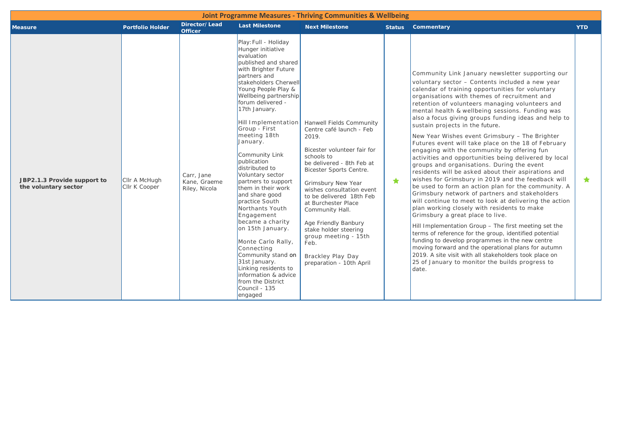|                                                     |                                |                                             |                                                                                                                                                                                                                                                                                                                                                                                                                                                                                                                                                                                                                                                                                                                         | <b>Joint Programme Measures - Thriving Communities &amp; Wellbeing</b>                                                                                                                                                                                                                                                                                                                                                               |               |                                                                                                                                                                                                                                                                                                                                                                                                                                                                                                                                                                                                                                                                                                                                                                                                                                                                                                                                                                                                                                                                                                                                                                                                                                                                                                                                                                                               |            |
|-----------------------------------------------------|--------------------------------|---------------------------------------------|-------------------------------------------------------------------------------------------------------------------------------------------------------------------------------------------------------------------------------------------------------------------------------------------------------------------------------------------------------------------------------------------------------------------------------------------------------------------------------------------------------------------------------------------------------------------------------------------------------------------------------------------------------------------------------------------------------------------------|--------------------------------------------------------------------------------------------------------------------------------------------------------------------------------------------------------------------------------------------------------------------------------------------------------------------------------------------------------------------------------------------------------------------------------------|---------------|-----------------------------------------------------------------------------------------------------------------------------------------------------------------------------------------------------------------------------------------------------------------------------------------------------------------------------------------------------------------------------------------------------------------------------------------------------------------------------------------------------------------------------------------------------------------------------------------------------------------------------------------------------------------------------------------------------------------------------------------------------------------------------------------------------------------------------------------------------------------------------------------------------------------------------------------------------------------------------------------------------------------------------------------------------------------------------------------------------------------------------------------------------------------------------------------------------------------------------------------------------------------------------------------------------------------------------------------------------------------------------------------------|------------|
| <b>Measure</b>                                      | <b>Portfolio Holder</b>        | Director/Lead<br><b>Officer</b>             | <b>Last Milestone</b>                                                                                                                                                                                                                                                                                                                                                                                                                                                                                                                                                                                                                                                                                                   | <b>Next Milestone</b>                                                                                                                                                                                                                                                                                                                                                                                                                | <b>Status</b> | Commentary                                                                                                                                                                                                                                                                                                                                                                                                                                                                                                                                                                                                                                                                                                                                                                                                                                                                                                                                                                                                                                                                                                                                                                                                                                                                                                                                                                                    | <b>YTD</b> |
| JBP2.1.3 Provide support to<br>the voluntary sector | Cllr A McHugh<br>Cllr K Cooper | Carr, Jane<br>Kane, Graeme<br>Riley, Nicola | Play: Full - Holiday<br>Hunger initiative<br>evaluation<br>published and shared<br>with Brighter Future<br>partners and<br>stakeholders Cherwell<br>Young People Play &<br>Wellbeing partnership<br>forum delivered -<br>17th January.<br>Hill Implementation<br>Group - First<br>meeting 18th<br>January.<br>Community Link<br>publication<br>distributed to<br>Voluntary sector<br>partners to support<br>them in their work<br>and share good<br>practice South<br>Northants Youth<br>Engagement<br>became a charity<br>on 15th January.<br>Monte Carlo Rally,<br>Connecting<br>Community stand on<br>31st January.<br>Linking residents to<br>information & advice<br>from the District<br>Council - 135<br>engaged | Hanwell Fields Community<br>Centre café launch - Feb<br>2019.<br>Bicester volunteer fair for<br>schools to<br>be delivered - 8th Feb at<br><b>Bicester Sports Centre.</b><br>Grimsbury New Year<br>wishes consultation event<br>to be delivered 18th Feb<br>at Burchester Place<br>Community Hall.<br>Age Friendly Banbury<br>stake holder steering<br>group meeting - 15th<br>Feb.<br>Brackley Play Day<br>preparation - 10th April | ★             | Community Link January newsletter supporting our<br>voluntary sector - Contents included a new year<br>calendar of training opportunities for voluntary<br>organisations with themes of recruitment and<br>retention of volunteers managing volunteers and<br>mental health & wellbeing sessions. Funding was<br>also a focus giving groups funding ideas and help to<br>sustain projects in the future.<br>New Year Wishes event Grimsbury - The Brighter<br>Futures event will take place on the 18 of February<br>engaging with the community by offering fun<br>activities and opportunities being delivered by local<br>groups and organisations. During the event<br>residents will be asked about their aspirations and<br>wishes for Grimsbury in 2019 and the feedback will<br>be used to form an action plan for the community. A<br>Grimsbury network of partners and stakeholders<br>will continue to meet to look at delivering the action<br>plan working closely with residents to make<br>Grimsbury a great place to live.<br>Hill Implementation Group - The first meeting set the<br>terms of reference for the group, identified potential<br>funding to develop programmes in the new centre<br>moving forward and the operational plans for autumn<br>2019. A site visit with all stakeholders took place on<br>25 of January to monitor the builds progress to<br>date. | $\star$    |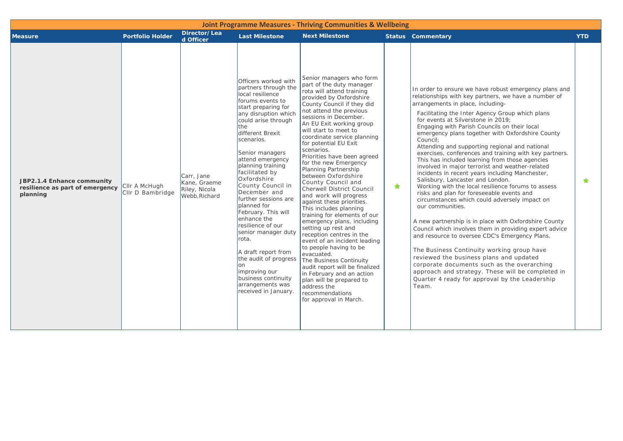|                                                                           |                                   |                                                              |                                                                                                                                                                                                                                                                                                                                                                                                                                                                                                                                                                                                                    | <b>Joint Programme Measures - Thriving Communities &amp; Wellbeing</b>                                                                                                                                                                                                                                                                                                                                                                                                                                                                                                                                                                                                                                                                                                                                                                                                                                                                          |            |                                                                                                                                                                                                                                                                                                                                                                                                                                                                                                                                                                                                                                                                                                                                                                                                                                                                                                                                                                                                                                                                                                                                                                                                                                                                          |            |
|---------------------------------------------------------------------------|-----------------------------------|--------------------------------------------------------------|--------------------------------------------------------------------------------------------------------------------------------------------------------------------------------------------------------------------------------------------------------------------------------------------------------------------------------------------------------------------------------------------------------------------------------------------------------------------------------------------------------------------------------------------------------------------------------------------------------------------|-------------------------------------------------------------------------------------------------------------------------------------------------------------------------------------------------------------------------------------------------------------------------------------------------------------------------------------------------------------------------------------------------------------------------------------------------------------------------------------------------------------------------------------------------------------------------------------------------------------------------------------------------------------------------------------------------------------------------------------------------------------------------------------------------------------------------------------------------------------------------------------------------------------------------------------------------|------------|--------------------------------------------------------------------------------------------------------------------------------------------------------------------------------------------------------------------------------------------------------------------------------------------------------------------------------------------------------------------------------------------------------------------------------------------------------------------------------------------------------------------------------------------------------------------------------------------------------------------------------------------------------------------------------------------------------------------------------------------------------------------------------------------------------------------------------------------------------------------------------------------------------------------------------------------------------------------------------------------------------------------------------------------------------------------------------------------------------------------------------------------------------------------------------------------------------------------------------------------------------------------------|------------|
| <b>Measure</b>                                                            | <b>Portfolio Holder</b>           | Director/Lea<br>d Officer                                    | <b>Last Milestone</b>                                                                                                                                                                                                                                                                                                                                                                                                                                                                                                                                                                                              | <b>Next Milestone</b>                                                                                                                                                                                                                                                                                                                                                                                                                                                                                                                                                                                                                                                                                                                                                                                                                                                                                                                           |            | <b>Status Commentary</b>                                                                                                                                                                                                                                                                                                                                                                                                                                                                                                                                                                                                                                                                                                                                                                                                                                                                                                                                                                                                                                                                                                                                                                                                                                                 | <b>YTD</b> |
| JBP2.1.4 Enhance community<br>resilience as part of emergency<br>planning | Cllr A McHugh<br>CIIr D Bambridge | Carr, Jane<br>Kane, Graeme<br>Riley, Nicola<br>Webb, Richard | Officers worked with<br>partners through the<br>local resilience<br>forums events to<br>start preparing for<br>any disruption which<br>could arise through<br>the<br>different Brexit<br>scenarios.<br>Senior managers<br>attend emergency<br>planning training<br>facilitated by<br>Oxfordshire<br>County Council in<br>December and<br>further sessions are<br>planned for<br>February. This will<br>enhance the<br>resilience of our<br>senior manager duty<br>Irota.<br>A draft report from<br>the audit of progress<br>lon<br>improving our<br>business continuity<br>arrangements was<br>received in January | Senior managers who form<br>part of the duty manager<br>rota will attend training<br>provided by Oxfordshire<br>County Council if they did<br>not attend the previous<br>sessions in December.<br>An EU Exit working group<br>will start to meet to<br>coordinate service planning<br>for potential EU Exit<br>scenarios.<br>Priorities have been agreed<br>for the new Emergency<br>Planning Partnership<br>between Oxfordshire<br>County Council and<br>Cherwell District Council<br>and work will progress<br>against these priorities.<br>This includes planning<br>training for elements of our<br>emergency plans, including<br>setting up rest and<br>reception centres in the<br>event of an incident leading<br>to people having to be<br>evacuated.<br>The Business Continuity<br>audit report will be finalized<br>in February and an action<br>plan will be prepared to<br>address the<br>recommendations<br>for approval in March. | $\bigstar$ | In order to ensure we have robust emergency plans and<br>relationships with key partners, we have a number of<br>arrangements in place, including-<br>Facilitating the Inter Agency Group which plans<br>for events at Silverstone in 2019;<br>Engaging with Parish Councils on their local<br>emergency plans together with Oxfordshire County<br>Council;<br>Attending and supporting regional and national<br>exercises, conferences and training with key partners.<br>This has included learning from those agencies<br>involved in major terrorist and weather-related<br>incidents in recent years including Manchester,<br>Salisbury, Lancaster and London.<br>Working with the local resilience forums to assess<br>risks and plan for foreseeable events and<br>circumstances which could adversely impact on<br>our communities.<br>A new partnership is in place with Oxfordshire County<br>Council which involves them in providing expert advice<br>and resource to oversee CDC's Emergency Plans.<br>The Business Continuity working group have<br>reviewed the business plans and updated<br>corporate documents such as the overarching<br>approach and strategy. These will be completed in<br>Quarter 4 ready for approval by the Leadership<br>Team. | ★          |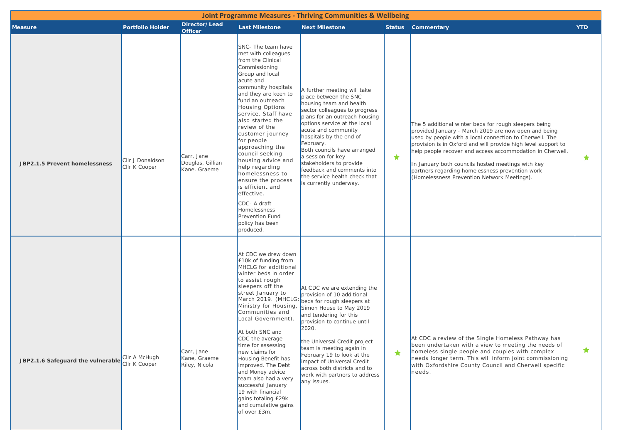| <b>Joint Programme Measures - Thriving Communities &amp; Wellbeing</b> |                                   |                                                |                                                                                                                                                                                                                                                                                                                                                                                                                                                                                                                                                                      |                                                                                                                                                                                                                                                                                                                                                                                                                          |   |                                                                                                                                                                                                                                                                                                                                                                                                                                                               |            |  |  |  |  |
|------------------------------------------------------------------------|-----------------------------------|------------------------------------------------|----------------------------------------------------------------------------------------------------------------------------------------------------------------------------------------------------------------------------------------------------------------------------------------------------------------------------------------------------------------------------------------------------------------------------------------------------------------------------------------------------------------------------------------------------------------------|--------------------------------------------------------------------------------------------------------------------------------------------------------------------------------------------------------------------------------------------------------------------------------------------------------------------------------------------------------------------------------------------------------------------------|---|---------------------------------------------------------------------------------------------------------------------------------------------------------------------------------------------------------------------------------------------------------------------------------------------------------------------------------------------------------------------------------------------------------------------------------------------------------------|------------|--|--|--|--|
| <b>Measure</b>                                                         | <b>Portfolio Holder</b>           | Director/Lead<br><b>Officer</b>                | <b>Last Milestone</b>                                                                                                                                                                                                                                                                                                                                                                                                                                                                                                                                                | <b>Next Milestone</b>                                                                                                                                                                                                                                                                                                                                                                                                    |   | <b>Status</b> Commentary                                                                                                                                                                                                                                                                                                                                                                                                                                      | <b>YTD</b> |  |  |  |  |
| JBP2.1.5 Prevent homelessness                                          | Cllr J Donaldson<br>Cllr K Cooper | Carr, Jane<br>Douglas, Gillian<br>Kane, Graeme | SNC- The team have<br>met with colleagues<br>from the Clinical<br>Commissioning<br>Group and local<br>acute and<br>community hospitals<br>and they are keen to<br>fund an outreach<br><b>Housing Options</b><br>service. Staff have<br>also started the<br>review of the<br>customer journey<br>for people<br>approaching the<br>council seeking<br>housing advice and<br>help regarding<br>homelessness to<br>ensure the process<br>is efficient and<br>effective.<br>CDC- A draft<br><b>Homelessness</b><br><b>Prevention Fund</b><br>policy has been<br>produced. | A further meeting will take<br>place between the SNC<br>housing team and health<br>sector colleagues to progress<br>plans for an outreach housing<br>options service at the local<br>acute and community<br>hospitals by the end of<br>February.<br>Both councils have arranged<br>a session for key<br>stakeholders to provide<br>feedback and comments into<br>the service health check that<br>is currently underway. | ★ | The 5 additional winter beds for rough sleepers being<br>provided January - March 2019 are now open and being<br>used by people with a local connection to Cherwell. The<br>provision is in Oxford and will provide high level support to<br>help people recover and access accommodation in Cherwell.<br>In January both councils hosted meetings with key<br>partners regarding homelessness prevention work<br>(Homelessness Prevention Network Meetings). | $\star$    |  |  |  |  |
| JBP2.1.6 Safeguard the vulnerable                                      | Cllr A McHugh<br>Cllr K Cooper    | Carr, Jane<br>Kane, Graeme<br>Riley, Nicola    | At CDC we drew down<br>£10k of funding from<br>MHCLG for additional<br>winter beds in order<br>to assist rough<br>sleepers off the<br>street January to<br>March 2019. (MHCLG:<br>Ministry for Housing,<br>Communities and<br>Local Government).<br>At both SNC and<br>CDC the average<br>time for assessing<br>new claims for<br>Housing Benefit has<br>improved. The Debt<br>and Money advice<br>team also had a very<br>successful January<br>19 with financial<br>gains totaling £29k<br>and cumulative gains<br>of over £3m.                                    | At CDC we are extending the<br>provision of 10 additional<br>beds for rough sleepers at<br>Simon House to May 2019<br>and tendering for this<br>provision to continue until<br>2020.<br>the Universal Credit project<br>team is meeting again in<br>February 19 to look at the<br>impact of Universal Credit<br>across both districts and to<br>work with partners to address<br>any issues.                             | ★ | At CDC a review of the Single Homeless Pathway has<br>been undertaken with a view to meeting the needs of<br>homeless single people and couples with complex<br>needs longer term. This will inform joint commissioning<br>with Oxfordshire County Council and Cherwell specific<br>needs.                                                                                                                                                                    | ★          |  |  |  |  |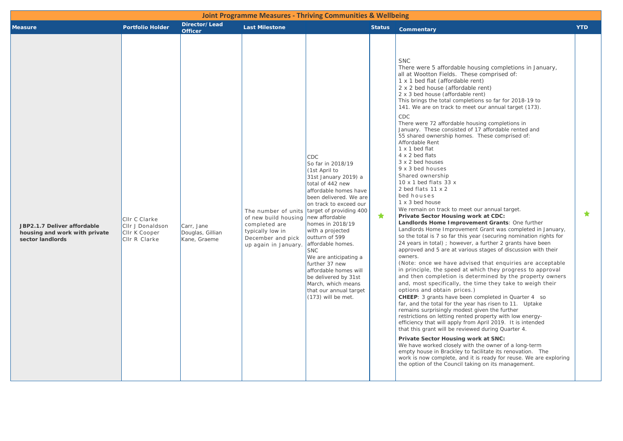| <b>Measure</b>                                                                   | <b>Portfolio Holder</b>                                             | Director/Lead<br><b>Officer</b>                | <b>Last Milestone</b>                                                                                                         | <b>Joint Programme Measures - Thriving Communities &amp; Wellbeing</b>                                                                                                                                                                                                                                                                                                                                                                                                                  | <b>Status</b> | <b>Commentary</b>                                                                                                                                                                                                                                                                                                                                                                                                                                                                                                                                                                                                                                                                                                                                                                                                                                                                                                                                                                                                                                                                                                                                                                                                                                                                                                                                                                                                                                                                                                                                                                                                                                                                                                                                                                                                                                                                                                                                                                                                                                                                                       | <b>YTD</b> |
|----------------------------------------------------------------------------------|---------------------------------------------------------------------|------------------------------------------------|-------------------------------------------------------------------------------------------------------------------------------|-----------------------------------------------------------------------------------------------------------------------------------------------------------------------------------------------------------------------------------------------------------------------------------------------------------------------------------------------------------------------------------------------------------------------------------------------------------------------------------------|---------------|---------------------------------------------------------------------------------------------------------------------------------------------------------------------------------------------------------------------------------------------------------------------------------------------------------------------------------------------------------------------------------------------------------------------------------------------------------------------------------------------------------------------------------------------------------------------------------------------------------------------------------------------------------------------------------------------------------------------------------------------------------------------------------------------------------------------------------------------------------------------------------------------------------------------------------------------------------------------------------------------------------------------------------------------------------------------------------------------------------------------------------------------------------------------------------------------------------------------------------------------------------------------------------------------------------------------------------------------------------------------------------------------------------------------------------------------------------------------------------------------------------------------------------------------------------------------------------------------------------------------------------------------------------------------------------------------------------------------------------------------------------------------------------------------------------------------------------------------------------------------------------------------------------------------------------------------------------------------------------------------------------------------------------------------------------------------------------------------------------|------------|
| JBP2.1.7 Deliver affordable<br>housing and work with private<br>sector landlords | CIIr C Clarke<br>CIIr J Donaldson<br>CIIr K Cooper<br>Cllr R Clarke | Carr, Jane<br>Douglas, Gillian<br>Kane, Graeme | The number of units<br>of new build housing<br>completed are<br>typically low in<br>December and pick<br>up again in January. | <b>CDC</b><br>So far in 2018/19<br>(1st April to<br>31st January 2019) a<br>total of 442 new<br>affordable homes have<br>been delivered. We are<br>on track to exceed our<br>target of providing 400<br>new affordable<br>homes in 2018/19<br>with a projected<br>outturn of 599<br>affordable homes.<br><b>SNC</b><br>We are anticipating a<br>further 37 new<br>affordable homes will<br>be delivered by 31st<br>March, which means<br>that our annual target<br>$(173)$ will be met. | ★             | <b>SNC</b><br>There were 5 affordable housing completions in January,<br>all at Wootton Fields. These comprised of:<br>1 x 1 bed flat (affordable rent)<br>2 x 2 bed house (affordable rent)<br>2 x 3 bed house (affordable rent)<br>This brings the total completions so far for 2018-19 to<br>141. We are on track to meet our annual target (173).<br>CDC<br>There were 72 affordable housing completions in<br>January. These consisted of 17 affordable rented and<br>55 shared ownership homes. These comprised of:<br>Affordable Rent<br>1 x 1 bed flat<br>4 x 2 bed flats<br>3 x 2 bed houses<br>9 x 3 bed houses<br>Shared ownership<br>10 $\times$ 1 bed flats 33 $\times$<br>2 bed flats 11 x 2<br>bed houses<br>1 x 3 bed house<br>We remain on track to meet our annual target.<br>Private Sector Housing work at CDC:<br>Landlords Home Improvement Grants: One further<br>Landlords Home Improvement Grant was completed in January,<br>so the total is 7 so far this year (securing nomination rights for<br>24 years in total); however, a further 2 grants have been<br>approved and 5 are at various stages of discussion with their<br>owners.<br>(Note: once we have advised that enquiries are acceptable<br>in principle, the speed at which they progress to approval<br>and then completion is determined by the property owners<br>and, most specifically, the time they take to weigh their<br>options and obtain prices.)<br><b>CHEEP:</b> 3 grants have been completed in Quarter 4 so<br>far, and the total for the year has risen to 11. Uptake<br>remains surprisingly modest given the further<br>restrictions on letting rented property with low energy-<br>efficiency that will apply from April 2019. It is intended<br>that this grant will be reviewed during Quarter 4.<br>Private Sector Housing work at SNC:<br>We have worked closely with the owner of a long-term<br>empty house in Brackley to facilitate its renovation. The<br>work is now complete, and it is ready for reuse. We are exploring<br>the option of the Council taking on its management. | $\bigstar$ |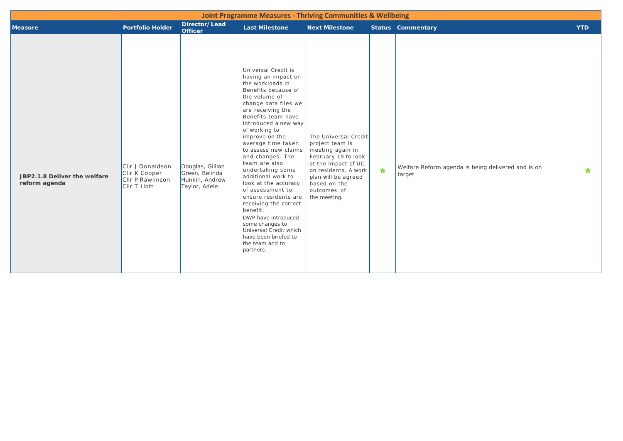|                                               |                                                                       |                                                                       |                                                                                                                                                                                                                                                                                                                                                                                                                                                                                                                                                                                                        | <b>Joint Programme Measures - Thriving Communities &amp; Wellbeing</b>                                                                                                                                  |            |                                                              |            |
|-----------------------------------------------|-----------------------------------------------------------------------|-----------------------------------------------------------------------|--------------------------------------------------------------------------------------------------------------------------------------------------------------------------------------------------------------------------------------------------------------------------------------------------------------------------------------------------------------------------------------------------------------------------------------------------------------------------------------------------------------------------------------------------------------------------------------------------------|---------------------------------------------------------------------------------------------------------------------------------------------------------------------------------------------------------|------------|--------------------------------------------------------------|------------|
| <b>Measure</b>                                | <b>Portfolio Holder</b>                                               | Director/Lead<br><b>Officer</b>                                       | <b>Last Milestone</b>                                                                                                                                                                                                                                                                                                                                                                                                                                                                                                                                                                                  | <b>Next Milestone</b>                                                                                                                                                                                   |            | <b>Status Commentary</b>                                     | <b>YTD</b> |
| JBP2.1.8 Deliver the welfare<br>reform agenda | Cllr J Donaldson<br>CIIr K Cooper<br>CIIr P Rawlinson<br>CIIr T Ilott | Douglas, Gillian<br>Green, Belinda<br>Hunkin, Andrew<br>Taylor, Adele | Universal Credit is<br>having an impact on<br>the workloads in<br>Benefits because of<br>the volume of<br>change data files we<br>are receiving the<br>Benefits team have<br>introduced a new way<br>of working to<br>improve on the<br>average time taken<br>to assess new claims<br>and changes. The<br>team are also<br>undertaking some<br>additional work to<br>look at the accuracy<br>of assessment to<br>ensure residents are<br>receiving the correct<br>benefit.<br>DWP have introduced<br>some changes to<br>Universal Credit which<br>have been briefed to<br>the team and to<br>partners. | The Universal Credit<br>project team is<br>meeting again in<br>February 19 to look<br>at the impact of UC<br>on residents. A work<br>plan will be agreed<br>based on the<br>outcomes of<br>the meeting. | $\bigstar$ | Welfare Reform agenda is being delivered and is on<br>target | ★          |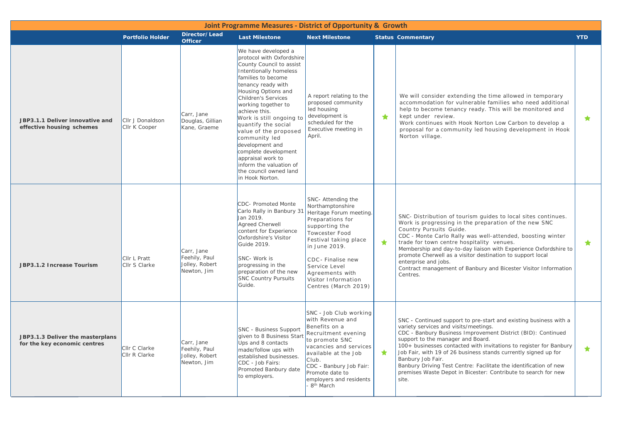| <b>Joint Programme Measures - District of Opportunity &amp; Growth</b> |                                                                                                                                                                                                                                                                                                                                                                                                                                                                                                                                                                             |                                                              |                                                                                                                                                                                                                                                             |                                                                                                                                                                                                                                                                             |                                                                                                                                                                                                                                                                                                                                                   |                                                                                                                                                                                                                                                                                                                                                                                                                                                                                                                               |            |  |  |  |  |
|------------------------------------------------------------------------|-----------------------------------------------------------------------------------------------------------------------------------------------------------------------------------------------------------------------------------------------------------------------------------------------------------------------------------------------------------------------------------------------------------------------------------------------------------------------------------------------------------------------------------------------------------------------------|--------------------------------------------------------------|-------------------------------------------------------------------------------------------------------------------------------------------------------------------------------------------------------------------------------------------------------------|-----------------------------------------------------------------------------------------------------------------------------------------------------------------------------------------------------------------------------------------------------------------------------|---------------------------------------------------------------------------------------------------------------------------------------------------------------------------------------------------------------------------------------------------------------------------------------------------------------------------------------------------|-------------------------------------------------------------------------------------------------------------------------------------------------------------------------------------------------------------------------------------------------------------------------------------------------------------------------------------------------------------------------------------------------------------------------------------------------------------------------------------------------------------------------------|------------|--|--|--|--|
|                                                                        | <b>Portfolio Holder</b>                                                                                                                                                                                                                                                                                                                                                                                                                                                                                                                                                     | Director/Lead<br><b>Officer</b>                              | <b>Last Milestone</b>                                                                                                                                                                                                                                       | <b>Next Milestone</b>                                                                                                                                                                                                                                                       | <b>Status Commentary</b>                                                                                                                                                                                                                                                                                                                          |                                                                                                                                                                                                                                                                                                                                                                                                                                                                                                                               | <b>YTD</b> |  |  |  |  |
| JBP3.1.1 Deliver innovative and<br>effective housing schemes           | We have developed a<br>protocol with Oxfordshire<br>County Council to assist<br>Intentionally homeless<br>families to become<br>tenancy ready with<br>Housing Options and<br><b>Children's Services</b><br>working together to<br>achieve this.<br>Carr, Jane<br>Work is still ongoing to<br>Cllr J Donaldson<br>Douglas, Gillian<br>quantify the social<br>Cllr K Cooper<br>Kane, Graeme<br>value of the proposed<br>community led<br>development and<br>complete development<br>appraisal work to<br>inform the valuation of<br>the council owned land<br>in Hook Norton. |                                                              | A report relating to the<br>proposed community<br>led housing<br>development is<br>scheduled for the<br>Executive meeting in<br>April.                                                                                                                      | $\bigstar$                                                                                                                                                                                                                                                                  | We will consider extending the time allowed in temporary<br>accommodation for vulnerable families who need additional<br>help to become tenancy ready. This will be monitored and<br>kept under review.<br>Work continues with Hook Norton Low Carbon to develop a<br>proposal for a community led housing development in Hook<br>Norton village. | $\star$                                                                                                                                                                                                                                                                                                                                                                                                                                                                                                                       |            |  |  |  |  |
| JBP3.1.2 Increase Tourism                                              | <b>CIIr L Pratt</b><br><b>Clir S Clarke</b>                                                                                                                                                                                                                                                                                                                                                                                                                                                                                                                                 | Carr, Jane<br>Feehily, Paul<br>Jolley, Robert<br>Newton, Jim | CDC- Promoted Monte<br>Carlo Rally in Banbury 31<br>Jan 2019.<br>Agreed Cherwell<br>content for Experience<br>Oxfordshire's Visitor<br>Guide 2019.<br>SNC- Work is<br>progressing in the<br>preparation of the new<br><b>SNC Country Pursuits</b><br>Guide. | SNC-Attending the<br>Northamptonshire<br>Heritage Forum meeting.<br>Preparations for<br>supporting the<br>Towcester Food<br>Festival taking place<br>in June 2019.<br>CDC - Finalise new<br>Service Level<br>Agreements with<br>Visitor Information<br>Centres (March 2019) | $\bigstar$                                                                                                                                                                                                                                                                                                                                        | SNC- Distribution of tourism guides to local sites continues.<br>Work is progressing in the preparation of the new SNC<br>Country Pursuits Guide.<br>CDC - Monte Carlo Rally was well-attended, boosting winter<br>trade for town centre hospitality venues.<br>Membership and day-to-day liaison with Experience Oxfordshire to<br>promote Cherwell as a visitor destination to support local<br>enterprise and jobs.<br>Contract management of Banbury and Bicester Visitor Information<br>Centres.                         | $\bigstar$ |  |  |  |  |
| JBP3.1.3 Deliver the masterplans<br>for the key economic centres       | CIIr C Clarke<br>CIIr R Clarke                                                                                                                                                                                                                                                                                                                                                                                                                                                                                                                                              | Carr, Jane<br>Feehily, Paul<br>Jolley, Robert<br>Newton, Jim | SNC - Business Support<br>given to 8 Business Start<br>Ups and 8 contacts<br>made/follow ups with<br>established businesses.<br>CDC - Job Fairs:<br>Promoted Banbury date<br>to employers.                                                                  | SNC - Job Club working<br>with Revenue and<br>Benefits on a<br>Recruitment evening<br>to promote SNC<br>vacancies and services<br>available at the Job<br>Club.<br>CDC - Banbury Job Fair:<br>Promote date to<br>employers and residents<br>8 <sup>th</sup> March           | $\bigstar$                                                                                                                                                                                                                                                                                                                                        | SNC - Continued support to pre-start and existing business with a<br>variety services and visits/meetings.<br>CDC - Banbury Business Improvement District (BID): Continued<br>support to the manager and Board.<br>100+ businesses contacted with invitations to register for Banbury<br>Job Fair, with 19 of 26 business stands currently signed up for<br>Banbury Job Fair.<br>Banbury Driving Test Centre: Facilitate the identification of new<br>premises Waste Depot in Bicester: Contribute to search for new<br>site. | $\bigstar$ |  |  |  |  |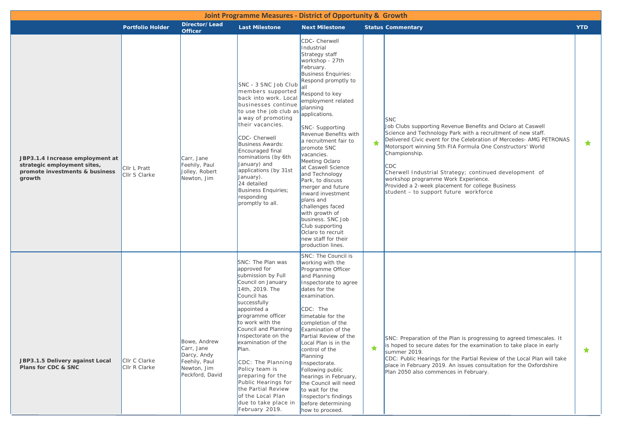|                                                                                                            |                                |                                                                                              | <b>Joint Programme Measures - District of Opportunity &amp; Growth</b>                                                                                                                                                                                                                                                                                                                                                                        |                                                                                                                                                                                                                                                                                                                                                                                                                                                                                                                                                                                               |   |                                                                                                                                                                                                                                                                                                                                                                                                                                                                                                      |            |
|------------------------------------------------------------------------------------------------------------|--------------------------------|----------------------------------------------------------------------------------------------|-----------------------------------------------------------------------------------------------------------------------------------------------------------------------------------------------------------------------------------------------------------------------------------------------------------------------------------------------------------------------------------------------------------------------------------------------|-----------------------------------------------------------------------------------------------------------------------------------------------------------------------------------------------------------------------------------------------------------------------------------------------------------------------------------------------------------------------------------------------------------------------------------------------------------------------------------------------------------------------------------------------------------------------------------------------|---|------------------------------------------------------------------------------------------------------------------------------------------------------------------------------------------------------------------------------------------------------------------------------------------------------------------------------------------------------------------------------------------------------------------------------------------------------------------------------------------------------|------------|
|                                                                                                            | <b>Portfolio Holder</b>        | Director/Lead<br><b>Officer</b>                                                              | <b>Last Milestone</b>                                                                                                                                                                                                                                                                                                                                                                                                                         | <b>Next Milestone</b>                                                                                                                                                                                                                                                                                                                                                                                                                                                                                                                                                                         |   | <b>Status Commentary</b>                                                                                                                                                                                                                                                                                                                                                                                                                                                                             | <b>YTD</b> |
| JBP3.1.4 Increase employment at<br>strategic employment sites,<br>promote investments & business<br>growth | CIIr L Pratt<br>Cllr S Clarke  | Carr, Jane<br>Feehily, Paul<br>Jolley, Robert<br>Newton, Jim                                 | SNC - 3 SNC Job Club<br>members supported<br>back into work. Local<br>businesses continue<br>to use the job club as<br>a way of promoting<br>their vacancies.<br>CDC- Cherwell<br><b>Business Awards:</b><br>Encouraged final<br>nominations (by 6th<br>January) and<br>applications (by 31st<br>January).<br>24 detailed<br><b>Business Enquiries;</b><br>responding<br>promptly to all.                                                     | CDC- Cherwell<br>Industrial<br>Strategy staff<br>workshop - 27th<br>February.<br><b>Business Enquiries:</b><br>Respond promptly to<br>Respond to key<br>employment related<br>planning<br>applications.<br>SNC- Supporting<br>Revenue Benefits with<br>a recruitment fair to<br>promote SNC<br>vacancies.<br>Meeting Oclaro<br>at Caswell Science<br>and Technology<br>Park, to discuss<br>merger and future<br>inward investment<br>plans and<br>challenges faced<br>with growth of<br>business. SNC Job<br>Club supporting<br>Oclaro to recruit<br>new staff for their<br>production lines. | ★ | <b>SNC</b><br>Job Clubs supporting Revenue Benefits and Oclaro at Caswell<br>Science and Technology Park with a recruitment of new staff.<br>Delivered Civic event for the Celebration of Mercedes- AMG PETRONAS<br>Motorsport winning 5th FIA Formula One Constructors' World<br>Championship.<br>CDC<br>Cherwell Industrial Strategy; continued development of<br>workshop programme Work Experience.<br>Provided a 2-week placement for college Business<br>student - to support future workforce | $\star$    |
| JBP3.1.5 Delivery against Local<br>Plans for CDC & SNC                                                     | CIIr C Clarke<br>Cllr R Clarke | Bowe, Andrew<br>Carr, Jane<br>Darcy, Andy<br>Feehily, Paul<br>Newton, Jim<br>Peckford, David | SNC: The Plan was<br>approved for<br>submission by Full<br>Council on January<br>14th, 2019. The<br>Council has<br>successfully<br>appointed a<br>programme officer<br>to work with the<br>Council and Planning<br>Inspectorate on the<br>examination of the<br>Plan.<br>CDC: The Planning<br>Policy team is<br>preparing for the<br>Public Hearings for<br>the Partial Review<br>of the Local Plan<br>due to take place in<br>February 2019. | SNC: The Council is<br>working with the<br>Programme Officer<br>and Planning<br>Inspectorate to agree<br>dates for the<br>examination.<br>CDC: The<br>timetable for the<br>completion of the<br>Examination of the<br>Partial Review of the<br>Local Plan is in the<br>control of the<br>Planning<br>Inspectorate.<br>Following public<br>hearings in February,<br>the Council will need<br>to wait for the<br>Inspector's findings<br>before determining<br>how to proceed.                                                                                                                  | ★ | SNC: Preparation of the Plan is progressing to agreed timescales. It<br>is hoped to secure dates for the examination to take place in early<br>summer 2019.<br>CDC: Public Hearings for the Partial Review of the Local Plan will take<br>place in February 2019. An issues consultation for the Oxfordshire<br>Plan 2050 also commences in February.                                                                                                                                                | $\star$    |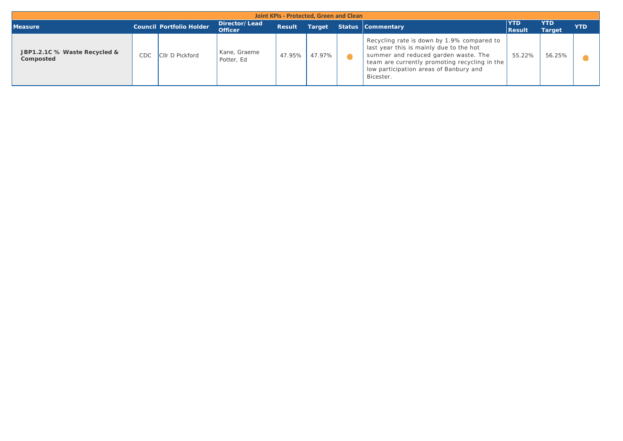|                                           |     |                                 |                                 |               | Joint KPIs - Protected, Green and Clean |                                                                                                                                                                                                                                       |                      |                             |            |
|-------------------------------------------|-----|---------------------------------|---------------------------------|---------------|-----------------------------------------|---------------------------------------------------------------------------------------------------------------------------------------------------------------------------------------------------------------------------------------|----------------------|-----------------------------|------------|
| <b>Measure</b>                            |     | <b>Council Portfolio Holder</b> | Director/Lead<br><b>Officer</b> | <b>Result</b> | Target                                  | Status Commentary                                                                                                                                                                                                                     | YTD<br><b>Result</b> | <b>YTD</b><br><b>Target</b> | <b>YTD</b> |
| JBP1.2.1C % Waste Recycled &<br>Composted | CDC | <b>CIIr D Pickford</b>          | Kane, Graeme<br>Potter, Ed      | 47.95%        | 47.97%                                  | Recycling rate is down by 1.9% compared to<br>last year this is mainly due to the hot<br>summer and reduced garden waste. The<br>team are currently promoting recycling in the<br>low participation areas of Banbury and<br>Bicester. | 55.22%               | 56.25%                      |            |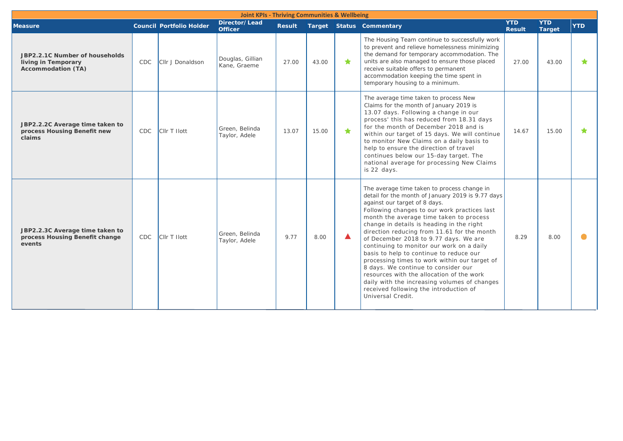|                                                                                    | <b>Joint KPIs - Thriving Communities &amp; Wellbeing</b> |                                 |                                  |               |       |    |                                                                                                                                                                                                                                                                                                                                                                                                                                                                                                                                                                                                                                                                                                               |                             |                             |            |
|------------------------------------------------------------------------------------|----------------------------------------------------------|---------------------------------|----------------------------------|---------------|-------|----|---------------------------------------------------------------------------------------------------------------------------------------------------------------------------------------------------------------------------------------------------------------------------------------------------------------------------------------------------------------------------------------------------------------------------------------------------------------------------------------------------------------------------------------------------------------------------------------------------------------------------------------------------------------------------------------------------------------|-----------------------------|-----------------------------|------------|
| <b>Measure</b>                                                                     |                                                          | <b>Council Portfolio Holder</b> | Director/Lead<br><b>Officer</b>  | <b>Result</b> |       |    | <b>Target Status Commentary</b>                                                                                                                                                                                                                                                                                                                                                                                                                                                                                                                                                                                                                                                                               | <b>YTD</b><br><b>Result</b> | <b>YTD</b><br><b>Target</b> | <b>YTD</b> |
| JBP2.2.1C Number of households<br>living in Temporary<br><b>Accommodation (TA)</b> | CDC                                                      | Cllr J Donaldson                | Douglas, Gillian<br>Kane, Graeme | 27.00         | 43.00 | ★. | The Housing Team continue to successfully work<br>to prevent and relieve homelessness minimizing<br>the demand for temporary accommodation. The<br>units are also managed to ensure those placed<br>receive suitable offers to permanent<br>accommodation keeping the time spent in<br>temporary housing to a minimum.                                                                                                                                                                                                                                                                                                                                                                                        | 27.00                       | 43.00                       | ★          |
| JBP2.2.2C Average time taken to<br>process Housing Benefit new<br>claims           | <b>CDC</b>                                               | CIIr T Ilott                    | Green, Belinda<br>Taylor, Adele  | 13.07         | 15.00 | ★  | The average time taken to process New<br>Claims for the month of January 2019 is<br>13.07 days. Following a change in our<br>process' this has reduced from 18.31 days<br>for the month of December 2018 and is<br>within our target of 15 days. We will continue<br>to monitor New Claims on a daily basis to<br>help to ensure the direction of travel<br>continues below our 15-day target. The<br>national average for processing New Claims<br>is 22 days.                                                                                                                                                                                                                                               | 14.67                       | 15.00                       | ★          |
| JBP2.2.3C Average time taken to<br>process Housing Benefit change<br>events        | CDC                                                      | CIIr T Ilott                    | Green, Belinda<br>Taylor, Adele  | 9.77          | 8.00  |    | The average time taken to process change in<br>detail for the month of January 2019 is 9.77 days<br>against our target of 8 days.<br>Following changes to our work practices last<br>month the average time taken to process<br>change in details is heading in the right<br>direction reducing from 11.61 for the month<br>of December 2018 to 9.77 days. We are<br>continuing to monitor our work on a daily<br>basis to help to continue to reduce our<br>processing times to work within our target of<br>8 days. We continue to consider our<br>resources with the allocation of the work<br>daily with the increasing volumes of changes<br>received following the introduction of<br>Universal Credit. | 8.29                        | 8.00                        |            |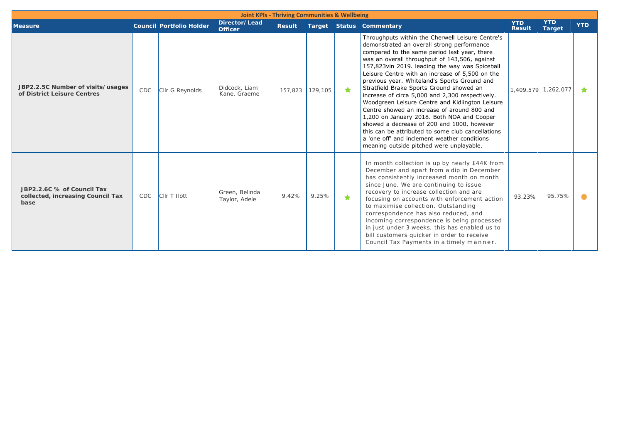| <b>Joint KPIs - Thriving Communities &amp; Wellbeing</b>                |            |                                 |                                 |                 |       |   |                                                                                                                                                                                                                                                                                                                                                                                                                                                                                                                                                                                                                                                                                                                                                                                                    |                             |                             |            |
|-------------------------------------------------------------------------|------------|---------------------------------|---------------------------------|-----------------|-------|---|----------------------------------------------------------------------------------------------------------------------------------------------------------------------------------------------------------------------------------------------------------------------------------------------------------------------------------------------------------------------------------------------------------------------------------------------------------------------------------------------------------------------------------------------------------------------------------------------------------------------------------------------------------------------------------------------------------------------------------------------------------------------------------------------------|-----------------------------|-----------------------------|------------|
| <b>Measure</b>                                                          |            | <b>Council Portfolio Holder</b> | Director/Lead<br><b>Officer</b> | <b>Result</b>   |       |   | <b>Target Status Commentary</b>                                                                                                                                                                                                                                                                                                                                                                                                                                                                                                                                                                                                                                                                                                                                                                    | <b>YTD</b><br><b>Result</b> | <b>YTD</b><br><b>Target</b> | <b>YTD</b> |
| JBP2.2.5C Number of visits/usages<br>of District Leisure Centres        | <b>CDC</b> | Cllr G Reynolds                 | Didcock, Liam<br>Kane, Graeme   | 157,823 129,105 |       | ★ | Throughputs within the Cherwell Leisure Centre's<br>demonstrated an overall strong performance<br>compared to the same period last year, there<br>was an overall throughput of 143,506, against<br>157,823vin 2019. leading the way was Spiceball<br>Leisure Centre with an increase of 5,500 on the<br>previous year. Whiteland's Sports Ground and<br>Stratfield Brake Sports Ground showed an<br>increase of circa 5,000 and 2,300 respectively.<br>Woodgreen Leisure Centre and Kidlington Leisure<br>Centre showed an increase of around 800 and<br>1,200 on January 2018. Both NOA and Cooper<br>showed a decrease of 200 and 1000, however<br>this can be attributed to some club cancellations<br>a 'one off' and inclement weather conditions<br>meaning outside pitched were unplayable. | 1,409,579 1,262,077         |                             |            |
| JBP2.2.6C % of Council Tax<br>collected, increasing Council Tax<br>base | <b>CDC</b> | Cllr T Hott                     | Green, Belinda<br>Taylor, Adele | 9.42%           | 9.25% | ★ | In month collection is up by nearly £44K from<br>December and apart from a dip in December<br>has consistently increased month on month<br>since June. We are continuing to issue<br>recovery to increase collection and are<br>focusing on accounts with enforcement action<br>to maximise collection. Outstanding<br>correspondence has also reduced, and<br>incoming correspondence is being processed<br>in just under 3 weeks, this has enabled us to<br>bill customers quicker in order to receive<br>Council Tax Payments in a timely manner.                                                                                                                                                                                                                                               | 93.23%                      | 95.75%                      |            |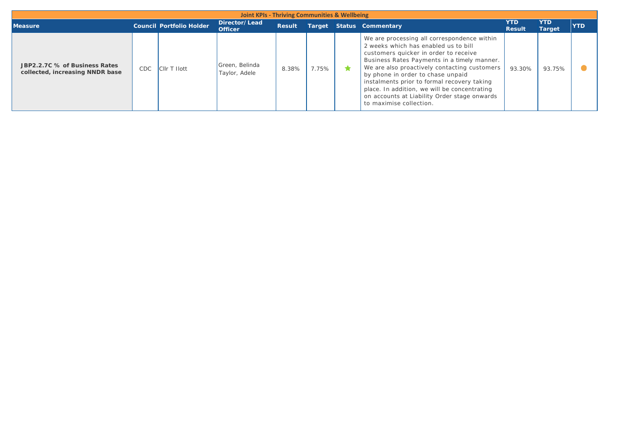| <b>Joint KPIs - Thriving Communities &amp; Wellbeing</b>         |            |                                 |                                 |               |       |  |                                                                                                                                                                                                                                                                                                                                                                                                                                            |                             |                             |            |
|------------------------------------------------------------------|------------|---------------------------------|---------------------------------|---------------|-------|--|--------------------------------------------------------------------------------------------------------------------------------------------------------------------------------------------------------------------------------------------------------------------------------------------------------------------------------------------------------------------------------------------------------------------------------------------|-----------------------------|-----------------------------|------------|
| <b>Measure</b>                                                   |            | <b>Council Portfolio Holder</b> | Director/Lead<br><b>Officer</b> | <b>Result</b> |       |  | <b>Target Status Commentary</b>                                                                                                                                                                                                                                                                                                                                                                                                            | <b>YTD</b><br><b>Result</b> | <b>YTD</b><br><b>Target</b> | <b>YTD</b> |
| JBP2.2.7C % of Business Rates<br>collected, increasing NNDR base | <b>CDC</b> | <b>CIIr T Ilott</b>             | Green, Belinda<br>Taylor, Adele | 8.38%         | 7.75% |  | We are processing all correspondence within<br>2 weeks which has enabled us to bill<br>customers quicker in order to receive<br>Business Rates Payments in a timely manner.<br>We are also proactively contacting customers<br>by phone in order to chase unpaid<br>instalments prior to formal recovery taking<br>place. In addition, we will be concentrating<br>on accounts at Liability Order stage onwards<br>to maximise collection. | 93.30%                      | 93.75%                      |            |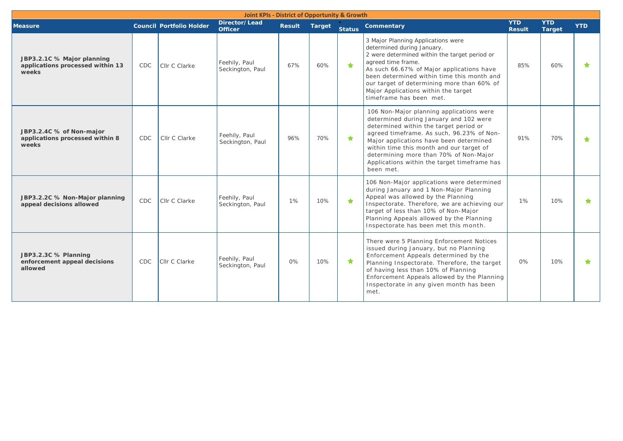| <b>Joint KPIs - District of Opportunity &amp; Growth</b>                |            |                                 |                                   |               |        |               |                                                                                                                                                                                                                                                                                                                                                                         |                             |                             |            |
|-------------------------------------------------------------------------|------------|---------------------------------|-----------------------------------|---------------|--------|---------------|-------------------------------------------------------------------------------------------------------------------------------------------------------------------------------------------------------------------------------------------------------------------------------------------------------------------------------------------------------------------------|-----------------------------|-----------------------------|------------|
| <b>Measure</b>                                                          |            | <b>Council Portfolio Holder</b> | Director/Lead<br><b>Officer</b>   | <b>Result</b> | Target | <b>Status</b> | Commentary                                                                                                                                                                                                                                                                                                                                                              | <b>YTD</b><br><b>Result</b> | <b>YTD</b><br><b>Target</b> | <b>YTD</b> |
| JBP3.2.1C % Major planning<br>applications processed within 13<br>weeks | <b>CDC</b> | Cllr C Clarke                   | Feehily, Paul<br>Seckington, Paul | 67%           | 60%    | $\bullet$     | 3 Major Planning Applications were<br>determined during January.<br>2 were determined within the target period or<br>agreed time frame.<br>As such 66.67% of Major applications have<br>been determined within time this month and<br>our target of determining more than 60% of<br>Major Applications within the target<br>timeframe has been met.                     | 85%                         | 60%                         | ★          |
| JBP3.2.4C % of Non-major<br>applications processed within 8<br>weeks    | <b>CDC</b> | Cllr C Clarke                   | Feehily, Paul<br>Seckington, Paul | 96%           | 70%    | $\bigstar$    | 106 Non-Major planning applications were<br>determined during January and 102 were<br>determined within the target period or<br>agreed timeframe. As such, 96.23% of Non-<br>Major applications have been determined<br>within time this month and our target of<br>determining more than 70% of Non-Major<br>Applications within the target timeframe has<br>been met. | 91%                         | 70%                         | ★          |
| JBP3.2.2C % Non-Major planning<br>appeal decisions allowed              | <b>CDC</b> | Cllr C Clarke                   | Feehily, Paul<br>Seckington, Paul | 1%            | 10%    | $\bigstar$    | 106 Non-Major applications were determined<br>during January and 1 Non-Major Planning<br>Appeal was allowed by the Planning<br>Inspectorate. Therefore, we are achieving our<br>target of less than 10% of Non-Major<br>Planning Appeals allowed by the Planning<br>Inspectorate has been met this month.                                                               | 1%                          | 10%                         | ÷          |
| JBP3.2.3C % Planning<br>enforcement appeal decisions<br>allowed         | <b>CDC</b> | Cllr C Clarke                   | Feehily, Paul<br>Seckington, Paul | 0%            | 10%    | $\star$       | There were 5 Planning Enforcement Notices<br>issued during January, but no Planning<br>Enforcement Appeals determined by the<br>Planning Inspectorate. Therefore, the target<br>of having less than 10% of Planning<br>Enforcement Appeals allowed by the Planning<br>Inspectorate in any given month has been<br>met.                                                  | 0%                          | 10%                         | ★          |